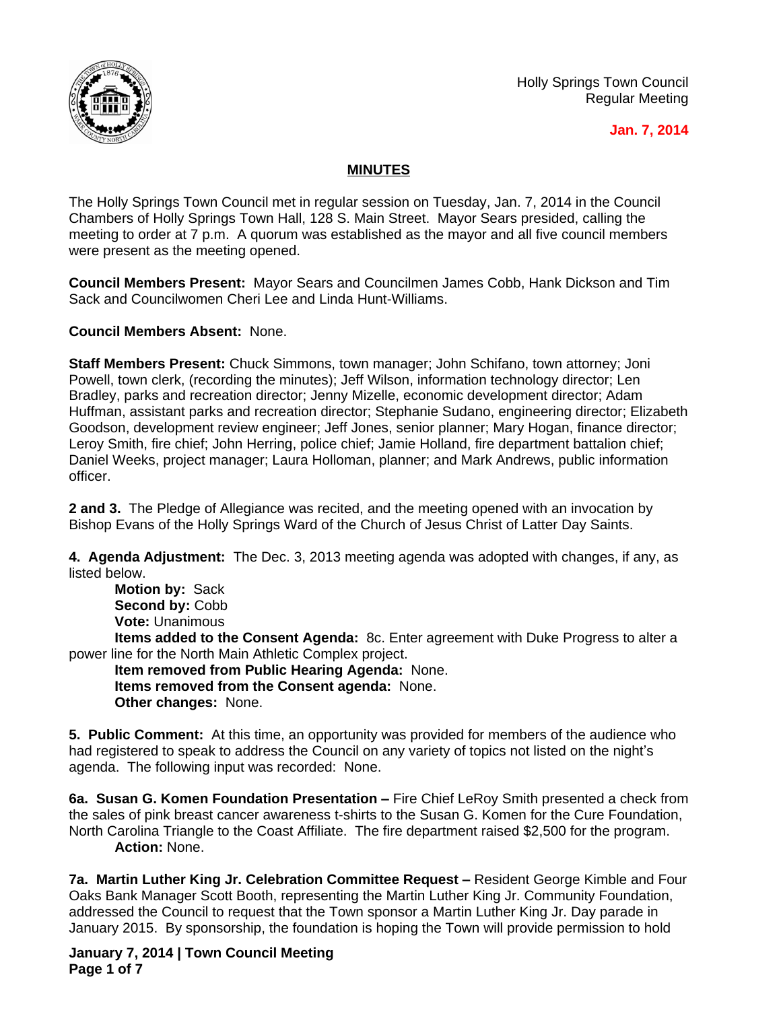

Holly Springs Town Council Regular Meeting

## **Jan. 7, 2014**

## **MINUTES**

The Holly Springs Town Council met in regular session on Tuesday, Jan. 7, 2014 in the Council Chambers of Holly Springs Town Hall, 128 S. Main Street. Mayor Sears presided, calling the meeting to order at 7 p.m. A quorum was established as the mayor and all five council members were present as the meeting opened.

**Council Members Present:** Mayor Sears and Councilmen James Cobb, Hank Dickson and Tim Sack and Councilwomen Cheri Lee and Linda Hunt-Williams.

**Council Members Absent:** None.

**Staff Members Present:** Chuck Simmons, town manager; John Schifano, town attorney; Joni Powell, town clerk, (recording the minutes); Jeff Wilson, information technology director; Len Bradley, parks and recreation director; Jenny Mizelle, economic development director; Adam Huffman, assistant parks and recreation director; Stephanie Sudano, engineering director; Elizabeth Goodson, development review engineer; Jeff Jones, senior planner; Mary Hogan, finance director; Leroy Smith, fire chief; John Herring, police chief; Jamie Holland, fire department battalion chief; Daniel Weeks, project manager; Laura Holloman, planner; and Mark Andrews, public information officer.

**2 and 3.** The Pledge of Allegiance was recited, and the meeting opened with an invocation by Bishop Evans of the Holly Springs Ward of the Church of Jesus Christ of Latter Day Saints.

**4. Agenda Adjustment:** The Dec. 3, 2013 meeting agenda was adopted with changes, if any, as listed below.

**Motion by:** Sack Second by: Cobb **Vote:** Unanimous

**Items added to the Consent Agenda:** 8c. Enter agreement with Duke Progress to alter a power line for the North Main Athletic Complex project.

**Item removed from Public Hearing Agenda:** None. **Items removed from the Consent agenda:** None. **Other changes:** None.

**5. Public Comment:** At this time, an opportunity was provided for members of the audience who had registered to speak to address the Council on any variety of topics not listed on the night's agenda. The following input was recorded: None.

**6a. Susan G. Komen Foundation Presentation –** Fire Chief LeRoy Smith presented a check from the sales of pink breast cancer awareness t-shirts to the Susan G. Komen for the Cure Foundation, North Carolina Triangle to the Coast Affiliate. The fire department raised \$2,500 for the program. **Action:** None.

**7a. Martin Luther King Jr. Celebration Committee Request –** Resident George Kimble and Four Oaks Bank Manager Scott Booth, representing the Martin Luther King Jr. Community Foundation, addressed the Council to request that the Town sponsor a Martin Luther King Jr. Day parade in January 2015. By sponsorship, the foundation is hoping the Town will provide permission to hold

**January 7, 2014 | Town Council Meeting Page 1 of 7**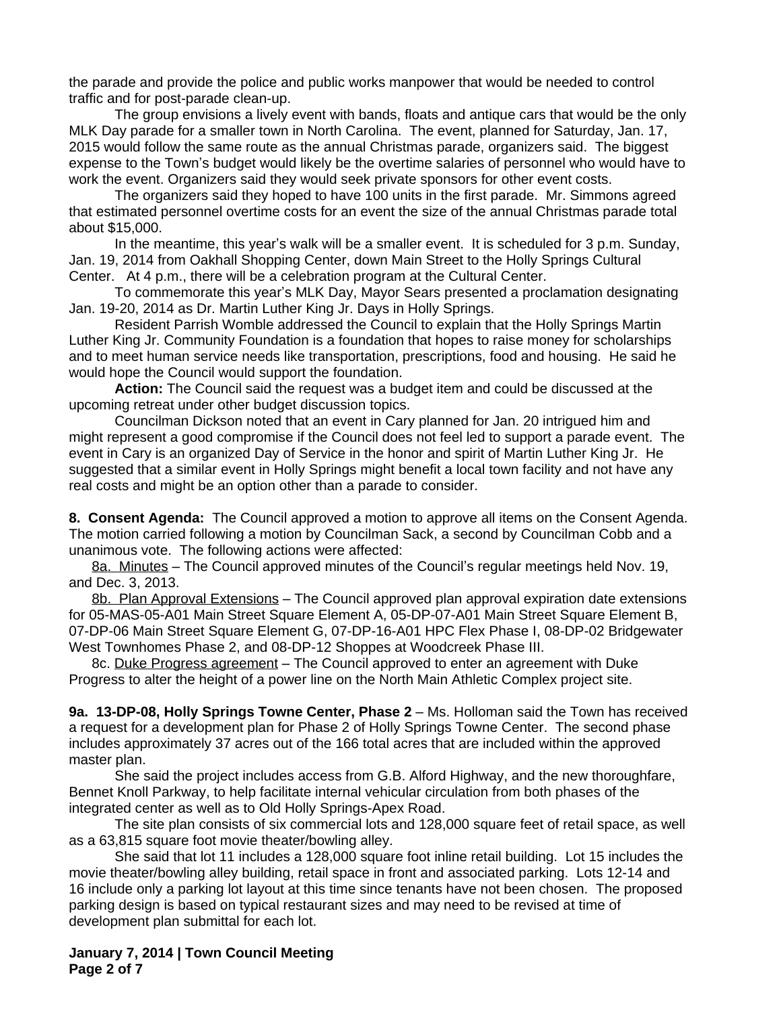the parade and provide the police and public works manpower that would be needed to control traffic and for post-parade clean-up.

The group envisions a lively event with bands, floats and antique cars that would be the only MLK Day parade for a smaller town in North Carolina. The event, planned for Saturday, Jan. 17, 2015 would follow the same route as the annual Christmas parade, organizers said. The biggest expense to the Town's budget would likely be the overtime salaries of personnel who would have to work the event. Organizers said they would seek private sponsors for other event costs.

The organizers said they hoped to have 100 units in the first parade. Mr. Simmons agreed that estimated personnel overtime costs for an event the size of the annual Christmas parade total about \$15,000.

In the meantime, this year's walk will be a smaller event. It is scheduled for 3 p.m. Sunday, Jan. 19, 2014 from Oakhall Shopping Center, down Main Street to the Holly Springs Cultural Center. At 4 p.m., there will be a celebration program at the Cultural Center.

To commemorate this year's MLK Day, Mayor Sears presented a proclamation designating Jan. 19-20, 2014 as Dr. Martin Luther King Jr. Days in Holly Springs.

Resident Parrish Womble addressed the Council to explain that the Holly Springs Martin Luther King Jr. Community Foundation is a foundation that hopes to raise money for scholarships and to meet human service needs like transportation, prescriptions, food and housing. He said he would hope the Council would support the foundation.

**Action:** The Council said the request was a budget item and could be discussed at the upcoming retreat under other budget discussion topics.

Councilman Dickson noted that an event in Cary planned for Jan. 20 intrigued him and might represent a good compromise if the Council does not feel led to support a parade event. The event in Cary is an organized Day of Service in the honor and spirit of Martin Luther King Jr. He suggested that a similar event in Holly Springs might benefit a local town facility and not have any real costs and might be an option other than a parade to consider.

**8. Consent Agenda:** The Council approved a motion to approve all items on the Consent Agenda. The motion carried following a motion by Councilman Sack, a second by Councilman Cobb and a unanimous vote. The following actions were affected:

8a. Minutes – The Council approved minutes of the Council's regular meetings held Nov. 19, and Dec. 3, 2013.

8b. Plan Approval Extensions – The Council approved plan approval expiration date extensions for 05-MAS-05-A01 Main Street Square Element A, 05-DP-07-A01 Main Street Square Element B, 07-DP-06 Main Street Square Element G, 07-DP-16-A01 HPC Flex Phase I, 08-DP-02 Bridgewater West Townhomes Phase 2, and 08-DP-12 Shoppes at Woodcreek Phase III.

8c. Duke Progress agreement – The Council approved to enter an agreement with Duke Progress to alter the height of a power line on the North Main Athletic Complex project site.

**9a. 13-DP-08, Holly Springs Towne Center, Phase 2** – Ms. Holloman said the Town has received a request for a development plan for Phase 2 of Holly Springs Towne Center. The second phase includes approximately 37 acres out of the 166 total acres that are included within the approved master plan.

She said the project includes access from G.B. Alford Highway, and the new thoroughfare, Bennet Knoll Parkway, to help facilitate internal vehicular circulation from both phases of the integrated center as well as to Old Holly Springs-Apex Road.

The site plan consists of six commercial lots and 128,000 square feet of retail space, as well as a 63,815 square foot movie theater/bowling alley.

She said that lot 11 includes a 128,000 square foot inline retail building. Lot 15 includes the movie theater/bowling alley building, retail space in front and associated parking. Lots 12-14 and 16 include only a parking lot layout at this time since tenants have not been chosen. The proposed parking design is based on typical restaurant sizes and may need to be revised at time of development plan submittal for each lot.

**January 7, 2014 | Town Council Meeting Page 2 of 7**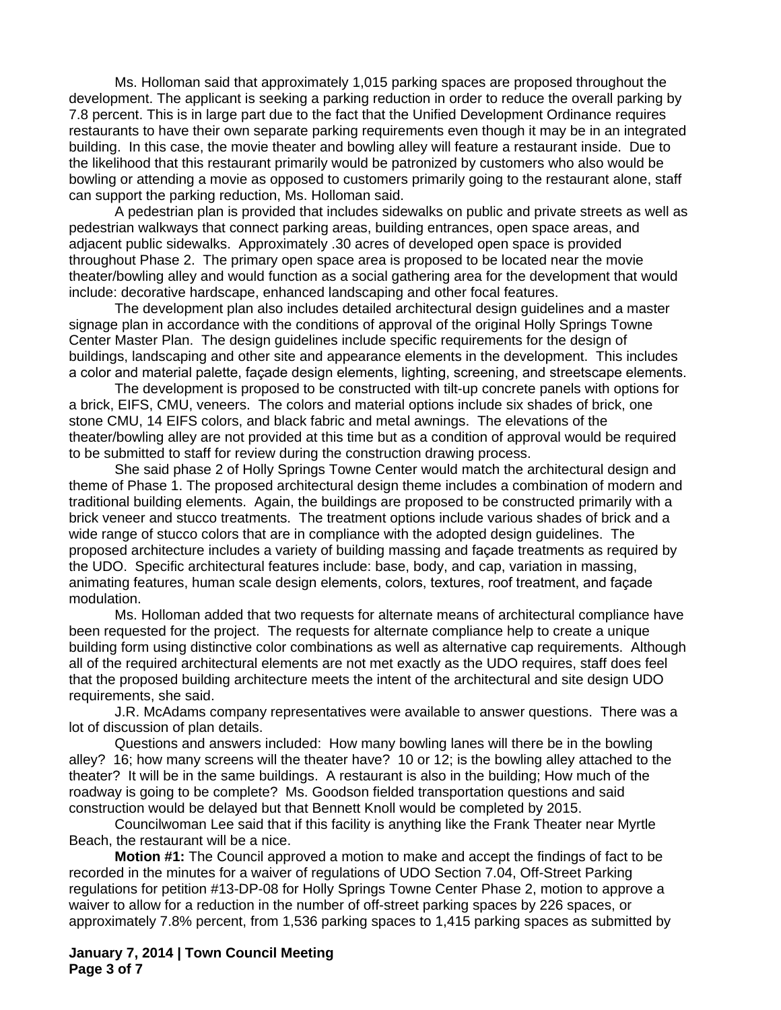Ms. Holloman said that approximately 1,015 parking spaces are proposed throughout the development. The applicant is seeking a parking reduction in order to reduce the overall parking by 7.8 percent. This is in large part due to the fact that the Unified Development Ordinance requires restaurants to have their own separate parking requirements even though it may be in an integrated building. In this case, the movie theater and bowling alley will feature a restaurant inside. Due to the likelihood that this restaurant primarily would be patronized by customers who also would be bowling or attending a movie as opposed to customers primarily going to the restaurant alone, staff can support the parking reduction, Ms. Holloman said.

A pedestrian plan is provided that includes sidewalks on public and private streets as well as pedestrian walkways that connect parking areas, building entrances, open space areas, and adjacent public sidewalks. Approximately .30 acres of developed open space is provided throughout Phase 2. The primary open space area is proposed to be located near the movie theater/bowling alley and would function as a social gathering area for the development that would include: decorative hardscape, enhanced landscaping and other focal features.

The development plan also includes detailed architectural design guidelines and a master signage plan in accordance with the conditions of approval of the original Holly Springs Towne Center Master Plan. The design guidelines include specific requirements for the design of buildings, landscaping and other site and appearance elements in the development. This includes a color and material palette, façade design elements, lighting, screening, and streetscape elements.

The development is proposed to be constructed with tilt-up concrete panels with options for a brick, EIFS, CMU, veneers. The colors and material options include six shades of brick, one stone CMU, 14 EIFS colors, and black fabric and metal awnings. The elevations of the theater/bowling alley are not provided at this time but as a condition of approval would be required to be submitted to staff for review during the construction drawing process.

She said phase 2 of Holly Springs Towne Center would match the architectural design and theme of Phase 1. The proposed architectural design theme includes a combination of modern and traditional building elements. Again, the buildings are proposed to be constructed primarily with a brick veneer and stucco treatments. The treatment options include various shades of brick and a wide range of stucco colors that are in compliance with the adopted design guidelines. The proposed architecture includes a variety of building massing and façade treatments as required by the UDO. Specific architectural features include: base, body, and cap, variation in massing, animating features, human scale design elements, colors, textures, roof treatment, and façade modulation.

Ms. Holloman added that two requests for alternate means of architectural compliance have been requested for the project. The requests for alternate compliance help to create a unique building form using distinctive color combinations as well as alternative cap requirements. Although all of the required architectural elements are not met exactly as the UDO requires, staff does feel that the proposed building architecture meets the intent of the architectural and site design UDO requirements, she said.

J.R. McAdams company representatives were available to answer questions. There was a lot of discussion of plan details.

Questions and answers included: How many bowling lanes will there be in the bowling alley? 16; how many screens will the theater have? 10 or 12; is the bowling alley attached to the theater? It will be in the same buildings. A restaurant is also in the building; How much of the roadway is going to be complete? Ms. Goodson fielded transportation questions and said construction would be delayed but that Bennett Knoll would be completed by 2015.

Councilwoman Lee said that if this facility is anything like the Frank Theater near Myrtle Beach, the restaurant will be a nice.

**Motion #1:** The Council approved a motion to make and accept the findings of fact to be recorded in the minutes for a waiver of regulations of UDO Section 7.04, Off-Street Parking regulations for petition #13-DP-08 for Holly Springs Towne Center Phase 2, motion to approve a waiver to allow for a reduction in the number of off-street parking spaces by 226 spaces, or approximately 7.8% percent, from 1,536 parking spaces to 1,415 parking spaces as submitted by

**January 7, 2014 | Town Council Meeting Page 3 of 7**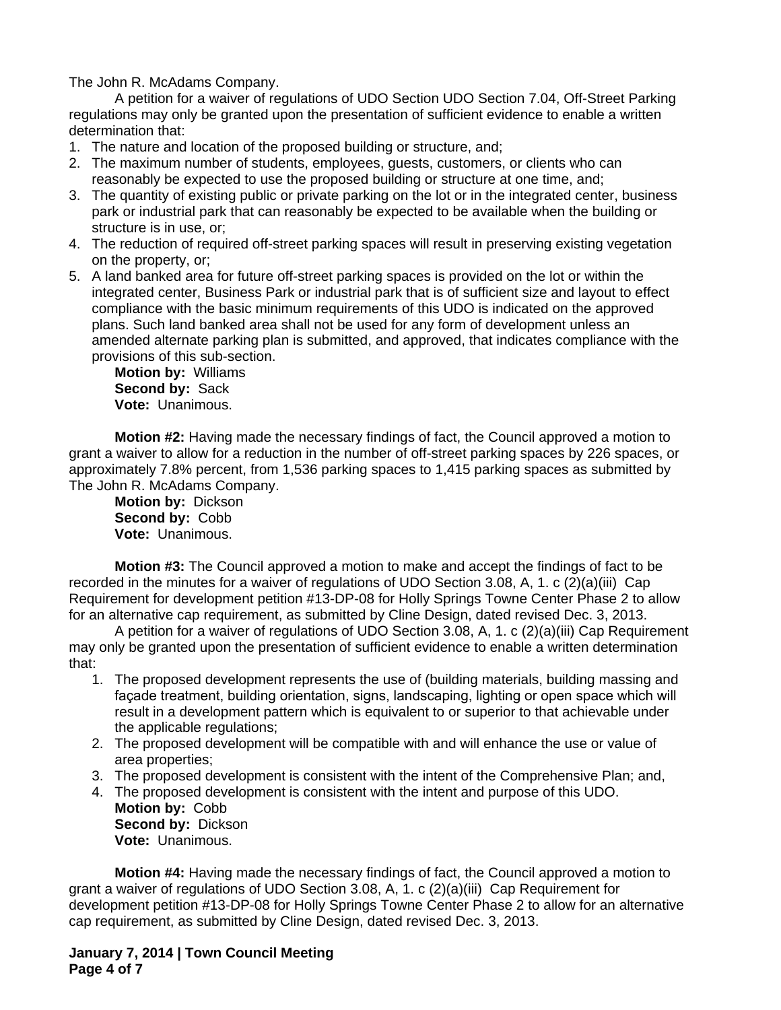The John R. McAdams Company.

A petition for a waiver of regulations of UDO Section UDO Section 7.04, Off-Street Parking regulations may only be granted upon the presentation of sufficient evidence to enable a written determination that:

- 1. The nature and location of the proposed building or structure, and;
- 2. The maximum number of students, employees, guests, customers, or clients who can reasonably be expected to use the proposed building or structure at one time, and;
- 3. The quantity of existing public or private parking on the lot or in the integrated center, business park or industrial park that can reasonably be expected to be available when the building or structure is in use, or;
- 4. The reduction of required off-street parking spaces will result in preserving existing vegetation on the property, or;
- 5. A land banked area for future off-street parking spaces is provided on the lot or within the integrated center, Business Park or industrial park that is of sufficient size and layout to effect compliance with the basic minimum requirements of this UDO is indicated on the approved plans. Such land banked area shall not be used for any form of development unless an amended alternate parking plan is submitted, and approved, that indicates compliance with the provisions of this sub-section.

**Motion by:** Williams **Second by:** Sack **Vote:** Unanimous.

**Motion #2:** Having made the necessary findings of fact, the Council approved a motion to grant a waiver to allow for a reduction in the number of off-street parking spaces by 226 spaces, or approximately 7.8% percent, from 1,536 parking spaces to 1,415 parking spaces as submitted by The John R. McAdams Company.

**Motion by:** Dickson **Second by:** Cobb **Vote:** Unanimous.

**Motion #3:** The Council approved a motion to make and accept the findings of fact to be recorded in the minutes for a waiver of regulations of UDO Section 3.08, A, 1. c (2)(a)(iii) Cap Requirement for development petition #13-DP-08 for Holly Springs Towne Center Phase 2 to allow for an alternative cap requirement, as submitted by Cline Design, dated revised Dec. 3, 2013.

A petition for a waiver of regulations of UDO Section 3.08, A, 1. c (2)(a)(iii) Cap Requirement may only be granted upon the presentation of sufficient evidence to enable a written determination that:

- 1. The proposed development represents the use of (building materials, building massing and façade treatment, building orientation, signs, landscaping, lighting or open space which will result in a development pattern which is equivalent to or superior to that achievable under the applicable regulations;
- 2. The proposed development will be compatible with and will enhance the use or value of area properties;
- 3. The proposed development is consistent with the intent of the Comprehensive Plan; and,
- 4. The proposed development is consistent with the intent and purpose of this UDO. **Motion by:** Cobb **Second by:** Dickson
	- **Vote:** Unanimous.

**Motion #4:** Having made the necessary findings of fact, the Council approved a motion to grant a waiver of regulations of UDO Section 3.08, A, 1. c (2)(a)(iii) Cap Requirement for development petition #13-DP-08 for Holly Springs Towne Center Phase 2 to allow for an alternative cap requirement, as submitted by Cline Design, dated revised Dec. 3, 2013.

**January 7, 2014 | Town Council Meeting Page 4 of 7**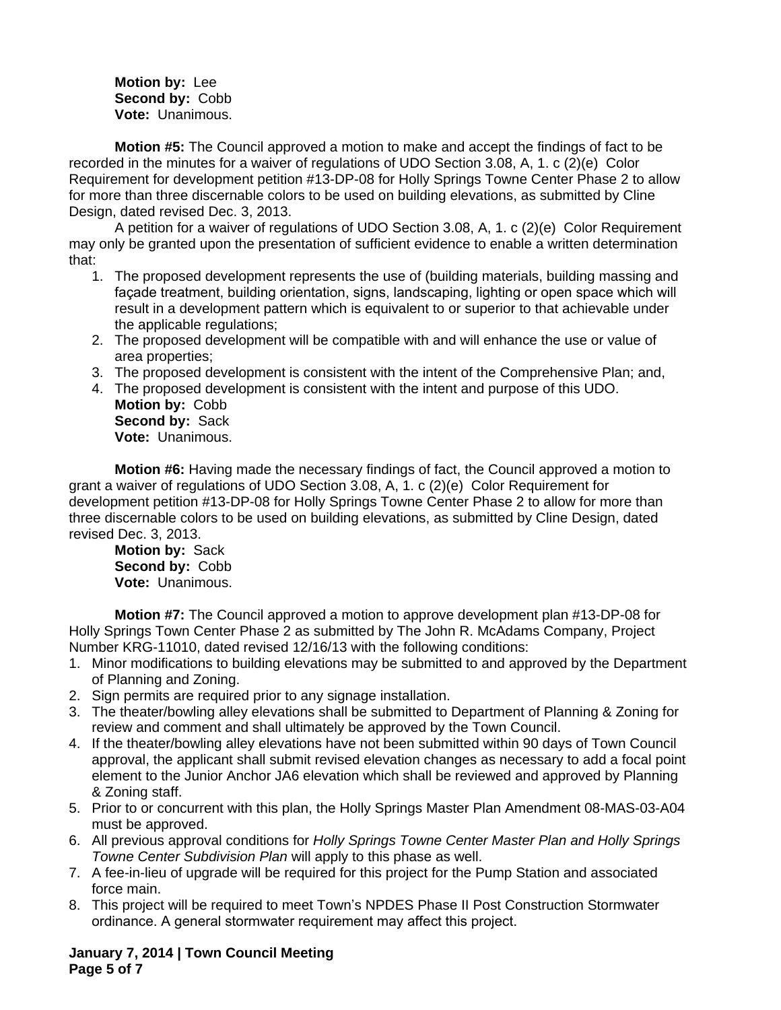**Motion by:** Lee **Second by:** Cobb **Vote:** Unanimous.

**Motion #5:** The Council approved a motion to make and accept the findings of fact to be recorded in the minutes for a waiver of regulations of UDO Section 3.08, A, 1. c (2)(e)Color Requirement for development petition #13-DP-08 for Holly Springs Towne Center Phase 2 to allow for more than three discernable colors to be used on building elevations, as submitted by Cline Design, dated revised Dec. 3, 2013.

A petition for a waiver of regulations of UDO Section 3.08, A, 1. c (2)(e)Color Requirement may only be granted upon the presentation of sufficient evidence to enable a written determination that:

- 1. The proposed development represents the use of (building materials, building massing and façade treatment, building orientation, signs, landscaping, lighting or open space which will result in a development pattern which is equivalent to or superior to that achievable under the applicable regulations;
- 2. The proposed development will be compatible with and will enhance the use or value of area properties;
- 3. The proposed development is consistent with the intent of the Comprehensive Plan; and,
- 4. The proposed development is consistent with the intent and purpose of this UDO. **Motion by:** Cobb **Second by:** Sack **Vote:** Unanimous.

**Motion #6:** Having made the necessary findings of fact, the Council approved a motion to grant a waiver of regulations of UDO Section 3.08, A, 1. c (2)(e)Color Requirement for development petition #13-DP-08 for Holly Springs Towne Center Phase 2 to allow for more than three discernable colors to be used on building elevations, as submitted by Cline Design, dated revised Dec. 3, 2013.

**Motion by:** Sack **Second by:** Cobb **Vote:** Unanimous.

**Motion #7:** The Council approved a motion to approve development plan #13-DP-08 for Holly Springs Town Center Phase 2 as submitted by The John R. McAdams Company, Project Number KRG-11010, dated revised 12/16/13 with the following conditions:

- 1. Minor modifications to building elevations may be submitted to and approved by the Department of Planning and Zoning.
- 2. Sign permits are required prior to any signage installation.
- 3. The theater/bowling alley elevations shall be submitted to Department of Planning & Zoning for review and comment and shall ultimately be approved by the Town Council.
- 4. If the theater/bowling alley elevations have not been submitted within 90 days of Town Council approval, the applicant shall submit revised elevation changes as necessary to add a focal point element to the Junior Anchor JA6 elevation which shall be reviewed and approved by Planning & Zoning staff.
- 5. Prior to or concurrent with this plan, the Holly Springs Master Plan Amendment 08-MAS-03-A04 must be approved.
- 6. All previous approval conditions for *Holly Springs Towne Center Master Plan and Holly Springs Towne Center Subdivision Plan* will apply to this phase as well.
- 7. A fee-in-lieu of upgrade will be required for this project for the Pump Station and associated force main.
- 8. This project will be required to meet Town's NPDES Phase II Post Construction Stormwater ordinance. A general stormwater requirement may affect this project.

**January 7, 2014 | Town Council Meeting Page 5 of 7**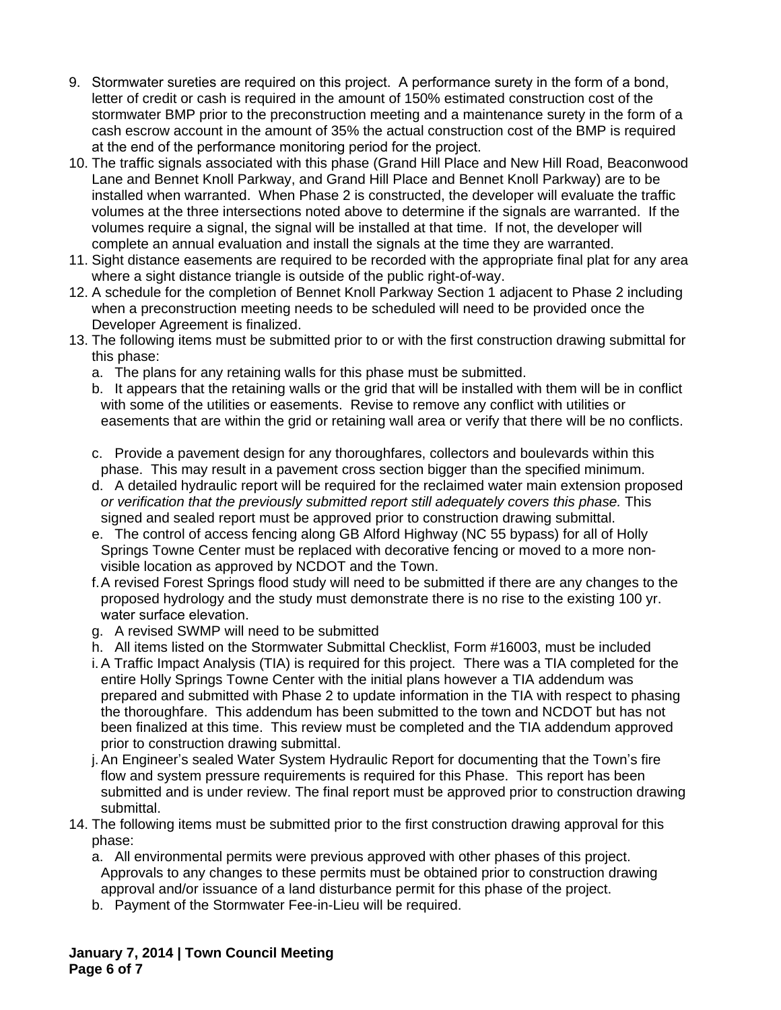- 9. Stormwater sureties are required on this project. A performance surety in the form of a bond, letter of credit or cash is required in the amount of 150% estimated construction cost of the stormwater BMP prior to the preconstruction meeting and a maintenance surety in the form of a cash escrow account in the amount of 35% the actual construction cost of the BMP is required at the end of the performance monitoring period for the project.
- 10. The traffic signals associated with this phase (Grand Hill Place and New Hill Road, Beaconwood Lane and Bennet Knoll Parkway, and Grand Hill Place and Bennet Knoll Parkway) are to be installed when warranted. When Phase 2 is constructed, the developer will evaluate the traffic volumes at the three intersections noted above to determine if the signals are warranted. If the volumes require a signal, the signal will be installed at that time. If not, the developer will complete an annual evaluation and install the signals at the time they are warranted.
- 11. Sight distance easements are required to be recorded with the appropriate final plat for any area where a sight distance triangle is outside of the public right-of-way.
- 12. A schedule for the completion of Bennet Knoll Parkway Section 1 adjacent to Phase 2 including when a preconstruction meeting needs to be scheduled will need to be provided once the Developer Agreement is finalized.
- 13. The following items must be submitted prior to or with the first construction drawing submittal for this phase:
	- a. The plans for any retaining walls for this phase must be submitted.
	- b. It appears that the retaining walls or the grid that will be installed with them will be in conflict with some of the utilities or easements. Revise to remove any conflict with utilities or easements that are within the grid or retaining wall area or verify that there will be no conflicts.
	- c. Provide a pavement design for any thoroughfares, collectors and boulevards within this phase. This may result in a pavement cross section bigger than the specified minimum.
	- d. A detailed hydraulic report will be required for the reclaimed water main extension proposed *or verification that the previously submitted report still adequately covers this phase.* This signed and sealed report must be approved prior to construction drawing submittal.
	- e. The control of access fencing along GB Alford Highway (NC 55 bypass) for all of Holly Springs Towne Center must be replaced with decorative fencing or moved to a more nonvisible location as approved by NCDOT and the Town.
	- f.A revised Forest Springs flood study will need to be submitted if there are any changes to the proposed hydrology and the study must demonstrate there is no rise to the existing 100 yr. water surface elevation.
	- g. A revised SWMP will need to be submitted
	- h. All items listed on the Stormwater Submittal Checklist, Form #16003, must be included
	- i.A Traffic Impact Analysis (TIA) is required for this project. There was a TIA completed for the entire Holly Springs Towne Center with the initial plans however a TIA addendum was prepared and submitted with Phase 2 to update information in the TIA with respect to phasing the thoroughfare. This addendum has been submitted to the town and NCDOT but has not been finalized at this time. This review must be completed and the TIA addendum approved prior to construction drawing submittal.
	- j.An Engineer's sealed Water System Hydraulic Report for documenting that the Town's fire flow and system pressure requirements is required for this Phase. This report has been submitted and is under review. The final report must be approved prior to construction drawing submittal.
- 14. The following items must be submitted prior to the first construction drawing approval for this phase:
	- a. All environmental permits were previous approved with other phases of this project. Approvals to any changes to these permits must be obtained prior to construction drawing approval and/or issuance of a land disturbance permit for this phase of the project.
	- b. Payment of the Stormwater Fee-in-Lieu will be required.